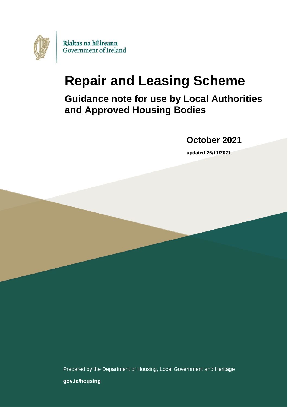

# **Repair and Leasing Scheme**

**Guidance note for use by Local Authorities and Approved Housing Bodies** 

**October 2021**

**updated 26/11/2021**

Prepared by the Department of Housing, Local Government and Heritage

**[gov.ie/housing](https://www.gov.ie/en/organisation/department-of-housing-local-government-and-heritage/)**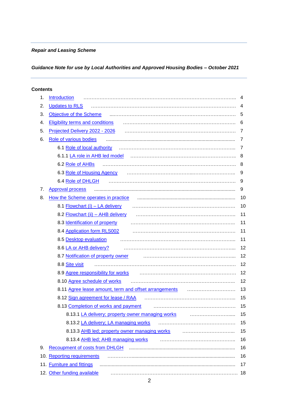#### *Repair and Leasing Scheme*

# *Guidance Note for use by Local Authorities and Approved Housing Bodies – October 2021*

#### **Contents**

| 1. | Introduction                                          | 4  |
|----|-------------------------------------------------------|----|
| 2. | <b>Updates to RLS</b>                                 | 4  |
| 3. | Objective of the Scheme                               | 5  |
| 4. | <b>Eligibility terms and conditions</b>               | 6  |
| 5. | Projected Delivery 2022 - 2026                        | 7  |
| 6. | Role of various bodies                                | 7  |
|    | 6.1 Role of local authority                           | 7  |
|    | 6.1.1 LA role in AHB led model                        | 8  |
|    | 6.2 Role of AHBs                                      | 8  |
|    | 6.3 Role of Housing Agency                            | 9  |
|    | 6.4 Role of DHLGH                                     | 9  |
| 7. | <b>Approval process</b>                               | 9  |
| 8. | How the Scheme operates in practice                   | 10 |
|    | 8.1 Flowchart (i) - LA delivery                       | 10 |
|    | 8.2 Flowchart (ii) - AHB delivery                     | 11 |
|    | 8.3 Identification of property                        | 11 |
|    | 8.4 Application form RLS002                           | 11 |
|    | 8.5 Desktop evaluation                                | 11 |
|    | 8.6 LA or AHB delivery?                               | 12 |
|    | 8.7 Notification of property owner                    | 12 |
|    | 8.8 Site visit                                        | 12 |
|    | 8.9 Agree responsibility for works                    | 12 |
|    | 8.10 Agree schedule of works                          | 12 |
|    | 8.11 Agree lease amount, term and offset arrangements | 13 |
|    | 8.12 Sign agreement for lease / RAA                   | 15 |
|    | 8.13 Completion of works and payment                  | 15 |
|    | 8.13.1 LA delivery; property owner managing works     | 15 |
|    | 8.13.2 LA delivery; LA managing works                 | 15 |
|    | 8.13.3 AHB led; property owner managing works         | 15 |
|    | 8.13.4 AHB led; AHB managing works                    | 16 |
| 9. |                                                       | 16 |
|    | 10. Reporting requirements                            | 16 |
|    | 11. Furniture and fittings                            | 17 |
|    | 12. Other funding available                           | 18 |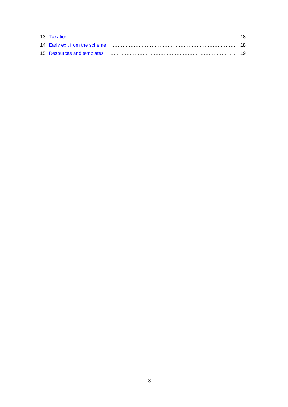| 13. Taxation                   | -18 |
|--------------------------------|-----|
| 14. Early exit from the scheme |     |
| 15. Resources and templates    |     |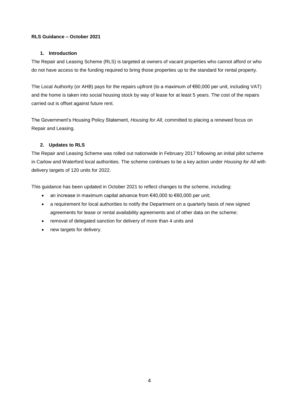#### **RLS Guidance – October 2021**

#### **1. Introduction**

<span id="page-3-0"></span>The Repair and Leasing Scheme (RLS) is targeted at owners of vacant properties who cannot afford or who do not have access to the funding required to bring those properties up to the standard for rental property.

The Local Authority (or AHB) pays for the repairs upfront (to a maximum of €60,000 per unit, including VAT) and the home is taken into social housing stock by way of lease for at least 5 years. The cost of the repairs carried out is offset against future rent.

The Government's Housing Policy Statement, *Housing for All*, committed to placing a renewed focus on Repair and Leasing.

#### **2. Updates to RLS**

<span id="page-3-1"></span>The Repair and Leasing Scheme was rolled out nationwide in February 2017 following an initial pilot scheme in Carlow and Waterford local authorities. The scheme continues to be a key action under *Housing for All* with delivery targets of 120 units for 2022.

This guidance has been updated in October 2021 to reflect changes to the scheme, including:

- an increase in maximum capital advance from  $€40,000$  to  $€60,000$  per unit;
- a requirement for local authorities to notify the Department on a quarterly basis of new signed agreements for lease or rental availability agreements and of other data on the scheme;
- removal of delegated sanction for delivery of more than 4 units and
- new targets for delivery.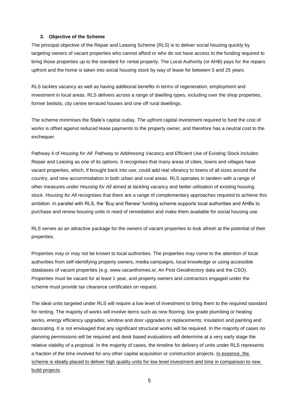#### **3. Objective of the Scheme**

<span id="page-4-0"></span>The principal objective of the Repair and Leasing Scheme (RLS) is to deliver social housing quickly by targeting owners of vacant properties who cannot afford or who do not have access to the funding required to bring those properties up to the standard for rental property. The Local Authority (or AHB) pays for the repairs upfront and the home is taken into social housing stock by way of lease for between 5 and 25 years.

RLS tackles vacancy as well as having additional benefits in terms of regeneration, employment and investment in local areas. RLS delivers across a range of dwelling types, including over the shop properties, former bedsits, city centre terraced houses and one off rural dwellings.

The scheme minimises the State's capital outlay. The upfront capital investment required to fund the cost of works is offset against reduced lease payments to the property owner, and therefore has a neutral cost to the exchequer.

Pathway 4 of *Housing for All*: Pathway to Addressing Vacancy and Efficient Use of Existing Stock includes Repair and Leasing as one of its options. It recognises that many areas of cities, towns and villages have vacant properties, which, if brought back into use, could add real vibrancy to towns of all sizes around the country, and new accommodation in both urban and rural areas. RLS operates in tandem with a range of other measures under *Housing for All* aimed at tackling vacancy and better utilisation of existing housing stock. *Housing for All* recognises that there are a range of complementary approaches required to achieve this ambition. In parallel with RLS, the 'Buy and Renew' funding scheme supports local authorities and AHBs to purchase and renew housing units in need of remediation and make them available for social housing use.

RLS serves as an attractive package for the owners of vacant properties to look afresh at the potential of their properties.

Properties may or may not be known to local authorities. The properties may come to the attention of local authorities from self-identifying property owners, media campaigns, local knowledge or using accessible databases of vacant properties (e.g. www.vacanthomes.ie; An Post *Geodirectory* data and the CSO). Properties must be vacant for at least 1 year, and property owners and contractors engaged under the scheme must provide tax clearance certificates on request.

The ideal units targeted under RLS will require a low level of investment to bring them to the required standard for renting. The majority of works will involve items such as new flooring, low grade plumbing or heating works, energy efficiency upgrades; window and door upgrades or replacements; insulation and painting and decorating. It is not envisaged that any significant structural works will be required. In the majority of cases no planning permissions will be required and desk based evaluations will determine at a very early stage the relative viability of a proposal. In the majority of cases, the timeline for delivery of units under RLS represents a fraction of the time involved for any other capital acquisition or construction projects. In essence, the scheme is ideally placed to deliver high quality units for low level investment and time in comparison to new build projects.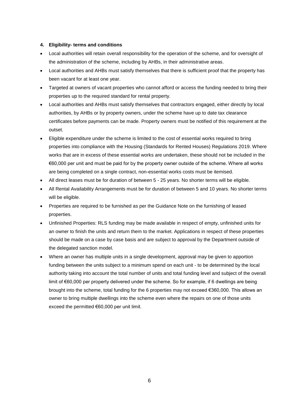#### <span id="page-5-0"></span>**4. Eligibility- terms and conditions**

- Local authorities will retain overall responsibility for the operation of the scheme, and for oversight of the administration of the scheme, including by AHBs, in their administrative areas.
- Local authorities and AHBs must satisfy themselves that there is sufficient proof that the property has been vacant for at least one year.
- Targeted at owners of vacant properties who cannot afford or access the funding needed to bring their properties up to the required standard for rental property.
- Local authorities and AHBs must satisfy themselves that contractors engaged, either directly by local authorities, by AHBs or by property owners, under the scheme have up to date tax clearance certificates before payments can be made. Property owners must be notified of this requirement at the outset.
- Eligible expenditure under the scheme is limited to the cost of essential works required to bring properties into compliance with the Housing (Standards for Rented Houses) Regulations 2019. Where works that are in excess of these essential works are undertaken, these should not be included in the €60,000 per unit and must be paid for by the property owner outside of the scheme. Where all works are being completed on a single contract, non-essential works costs must be itemised.
- All direct leases must be for duration of between 5 25 years. No shorter terms will be eligible.
- All Rental Availability Arrangements must be for duration of between 5 and 10 years. No shorter terms will be eligible.
- Properties are required to be furnished as per the Guidance Note on the furnishing of leased properties.
- Unfinished Properties: RLS funding may be made available in respect of empty, unfinished units for an owner to finish the units and return them to the market. Applications in respect of these properties should be made on a case by case basis and are subject to approval by the Department outside of the delegated sanction model.
- Where an owner has multiple units in a single development, approval may be given to apportion funding between the units subject to a minimum spend on each unit - to be determined by the local authority taking into account the total number of units and total funding level and subject of the overall limit of €60,000 per property delivered under the scheme. So for example, if 6 dwellings are being brought into the scheme, total funding for the 6 properties may not exceed €360,000. This allows an owner to bring multiple dwellings into the scheme even where the repairs on one of those units exceed the permitted €60,000 per unit limit.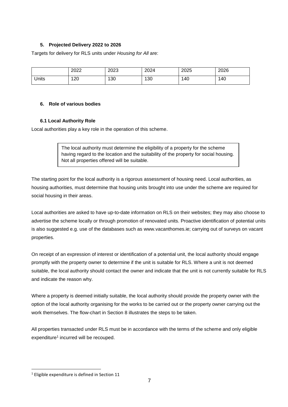#### **5. Projected Delivery 2022 to 2026**

<span id="page-6-0"></span>Targets for delivery for RLS units under *Housing for All* are:

|       | 2022 | 2023 | 2024 | 2025 | 2026 |
|-------|------|------|------|------|------|
| Units | 120  | 130  | 130  | 140  | 140  |

#### <span id="page-6-1"></span>**6. Role of various bodies**

#### <span id="page-6-2"></span>**6.1 Local Authority Role**

Local authorities play a key role in the operation of this scheme.

The local authority must determine the eligibility of a property for the scheme having regard to the location and the suitability of the property for social housing. Not all properties offered will be suitable.

The starting point for the local authority is a rigorous assessment of housing need. Local authorities, as housing authorities, must determine that housing units brought into use under the scheme are required for social housing in their areas.

Local authorities are asked to have up-to-date information on RLS on their websites; they may also choose to advertise the scheme locally or through promotion of renovated units. Proactive identification of potential units is also suggested e.g. use of the databases such as www.vacanthomes.ie; carrying out of surveys on vacant properties.

On receipt of an expression of interest or identification of a potential unit, the local authority should engage promptly with the property owner to determine if the unit is suitable for RLS. Where a unit is not deemed suitable, the local authority should contact the owner and indicate that the unit is not currently suitable for RLS and indicate the reason why.

Where a property is deemed initially suitable, the local authority should provide the property owner with the option of the local authority organising for the works to be carried out or the property owner carrying out the work themselves. The flow-chart in Section 8 illustrates the steps to be taken.

All properties transacted under RLS must be in accordance with the terms of the scheme and only eligible expenditure<sup>1</sup> incurred will be recouped.

<sup>&</sup>lt;sup>1</sup> Eligible expenditure is defined in Section 11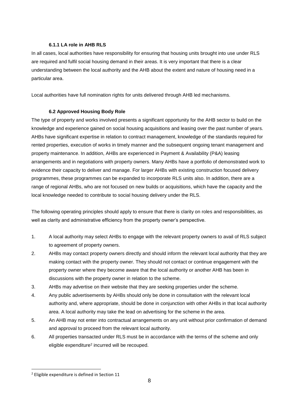#### <span id="page-7-0"></span>**6.1.1 LA role in AHB RLS**

In all cases, local authorities have responsibility for ensuring that housing units brought into use under RLS are required and fulfil social housing demand in their areas. It is very important that there is a clear understanding between the local authority and the AHB about the extent and nature of housing need in a particular area.

Local authorities have full nomination rights for units delivered through AHB led mechanisms.

#### <span id="page-7-1"></span>**6.2 Approved Housing Body Role**

The type of property and works involved presents a significant opportunity for the AHB sector to build on the knowledge and experience gained on social housing acquisitions and leasing over the past number of years. AHBs have significant expertise in relation to contract management, knowledge of the standards required for rented properties, execution of works in timely manner and the subsequent ongoing tenant management and property maintenance. In addition, AHBs are experienced in Payment & Availability (P&A) leasing arrangements and in negotiations with property owners. Many AHBs have a portfolio of demonstrated work to evidence their capacity to deliver and manage. For larger AHBs with existing construction focused delivery programmes, these programmes can be expanded to incorporate RLS units also. In addition, there are a range of regional AHBs, who are not focused on new builds or acquisitions, which have the capacity and the local knowledge needed to contribute to social housing delivery under the RLS.

The following operating principles should apply to ensure that there is clarity on roles and responsibilities, as well as clarity and administrative efficiency from the property owner's perspective.

- 1. A local authority may select AHBs to engage with the relevant property owners to avail of RLS subject to agreement of property owners.
- 2. AHBs may contact property owners directly and should inform the relevant local authority that they are making contact with the property owner. They should not contact or continue engagement with the property owner where they become aware that the local authority or another AHB has been in discussions with the property owner in relation to the scheme.
- 3. AHBs may advertise on their website that they are seeking properties under the scheme.
- 4. Any public advertisements by AHBs should only be done in consultation with the relevant local authority and, where appropriate, should be done in conjunction with other AHBs in that local authority area. A local authority may take the lead on advertising for the scheme in the area.
- 5. An AHB may not enter into contractual arrangements on any unit without prior confirmation of demand and approval to proceed from the relevant local authority.
- 6. All properties transacted under RLS must be in accordance with the terms of the scheme and only eligible expenditure<sup>2</sup> incurred will be recouped.

<sup>2</sup> Eligible expenditure is defined in Section 11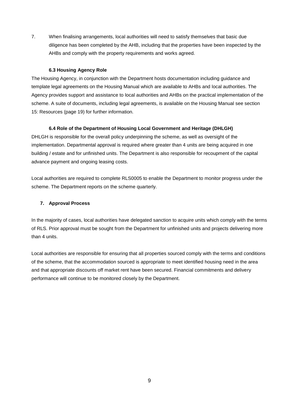7. When finalising arrangements, local authorities will need to satisfy themselves that basic due diligence has been completed by the AHB, including that the properties have been inspected by the AHBs and comply with the property requirements and works agreed.

#### <span id="page-8-0"></span>**6.3 Housing Agency Role**

The Housing Agency, in conjunction with the Department hosts documentation including guidance and template legal agreements on the Housing Manual which are available to AHBs and local authorities. The Agency provides support and assistance to local authorities and AHBs on the practical implementation of the scheme. A suite of documents, including legal agreements, is available on the Housing Manual see section 15: Resources (page 19) for further information.

#### <span id="page-8-1"></span>**6.4 Role of the Department of Housing Local Government and Heritage (DHLGH)**

DHLGH is responsible for the overall policy underpinning the scheme, as well as oversight of the implementation. Departmental approval is required where greater than 4 units are being acquired in one building / estate and for unfinished units. The Department is also responsible for recoupment of the capital advance payment and ongoing leasing costs.

Local authorities are required to complete RLS0005 to enable the Department to monitor progress under the scheme. The Department reports on the scheme quarterly.

#### <span id="page-8-2"></span>**7. Approval Process**

In the majority of cases, local authorities have delegated sanction to acquire units which comply with the terms of RLS. Prior approval must be sought from the Department for unfinished units and projects delivering more than 4 units.

Local authorities are responsible for ensuring that all properties sourced comply with the terms and conditions of the scheme, that the accommodation sourced is appropriate to meet identified housing need in the area and that appropriate discounts off market rent have been secured. Financial commitments and delivery performance will continue to be monitored closely by the Department.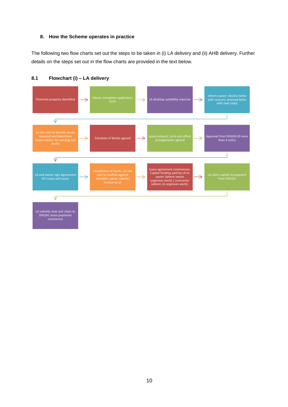#### <span id="page-9-0"></span>**8. How the Scheme operates in practice**

The following two flow charts set out the steps to be taken in (i) LA delivery and (ii) AHB delivery. Further details on the steps set out in the flow charts are provided in the text below.



<span id="page-9-1"></span>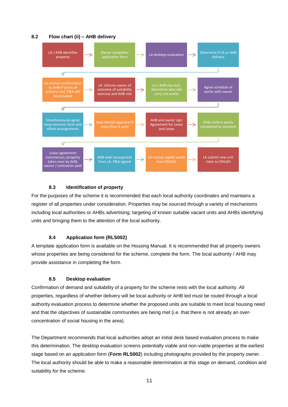#### **8.2 Flow chart (ii) – AHB delivery**

<span id="page-10-0"></span>

#### <span id="page-10-1"></span>**8.3 Identification of property**

For the purposes of the scheme it is recommended that each local authority coordinates and maintains a register of all properties under consideration. Properties may be sourced through a variety of mechanisms including local authorities or AHBs advertising; targeting of known suitable vacant units and AHBs identifying units and bringing them to the attention of the local authority.

#### <span id="page-10-2"></span>**8.4 Application form (RLS002)**

A template application form is available on the Housing Manual. It is recommended that all property owners whose properties are being considered for the scheme, complete the form. The local authority / AHB may provide assistance in completing the form.

#### <span id="page-10-3"></span>**8.5 Desktop evaluation**

Confirmation of demand and suitability of a property for the scheme rests with the local authority. All properties, regardless of whether delivery will be local authority or AHB led must be routed through a local authority evaluation process to determine whether the proposed units are suitable to meet local housing need and that the objectives of sustainable communities are being met (i.e. that there is not already an overconcentration of social housing in the area).

The Department recommends that local authorities adopt an initial desk based evaluation process to make this determination. The desktop evaluation screens potentially viable and non-viable properties at the earliest stage based on an application form (**Form RLS002**) including photographs provided by the property owner. The local authority should be able to make a reasonable determination at this stage on demand, condition and suitability for the scheme.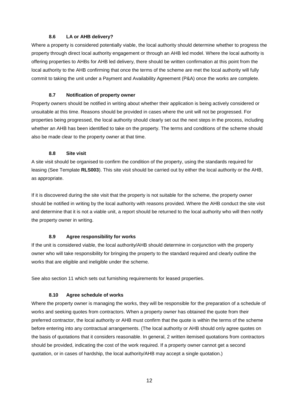#### <span id="page-11-0"></span>**8.6 LA or AHB delivery?**

Where a property is considered potentially viable, the local authority should determine whether to progress the property through direct local authority engagement or through an AHB led model. Where the local authority is offering properties to AHBs for AHB led delivery, there should be written confirmation at this point from the local authority to the AHB confirming that once the terms of the scheme are met the local authority will fully commit to taking the unit under a Payment and Availability Agreement (P&A) once the works are complete.

#### <span id="page-11-1"></span>**8.7 Notification of property owner**

Property owners should be notified in writing about whether their application is being actively considered or unsuitable at this time. Reasons should be provided in cases where the unit will not be progressed. For properties being progressed, the local authority should clearly set out the next steps in the process, including whether an AHB has been identified to take on the property. The terms and conditions of the scheme should also be made clear to the property owner at that time.

#### <span id="page-11-2"></span>**8.8 Site visit**

A site visit should be organised to confirm the condition of the property, using the standards required for leasing (See Template **RLS003**). This site visit should be carried out by either the local authority or the AHB, as appropriate.

If it is discovered during the site visit that the property is not suitable for the scheme, the property owner should be notified in writing by the local authority with reasons provided. Where the AHB conduct the site visit and determine that it is not a viable unit, a report should be returned to the local authority who will then notify the property owner in writing.

#### <span id="page-11-3"></span>**8.9 Agree responsibility for works**

If the unit is considered viable, the local authority/AHB should determine in conjunction with the property owner who will take responsibility for bringing the property to the standard required and clearly outline the works that are eligible and ineligible under the scheme.

See also section 11 which sets out furnishing requirements for leased properties.

#### <span id="page-11-4"></span>**8.10 Agree schedule of works**

Where the property owner is managing the works, they will be responsible for the preparation of a schedule of works and seeking quotes from contractors. When a property owner has obtained the quote from their preferred contractor, the local authority or AHB must confirm that the quote is within the terms of the scheme before entering into any contractual arrangements. (The local authority or AHB should only agree quotes on the basis of quotations that it considers reasonable. In general, 2 written itemised quotations from contractors should be provided, indicating the cost of the work required. If a property owner cannot get a second quotation, or in cases of hardship, the local authority/AHB may accept a single quotation.)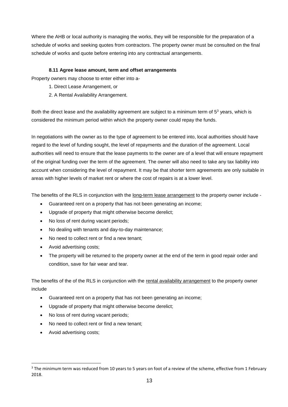Where the AHB or local authority is managing the works, they will be responsible for the preparation of a schedule of works and seeking quotes from contractors. The property owner must be consulted on the final schedule of works and quote before entering into any contractual arrangements.

#### <span id="page-12-0"></span>**8.11 Agree lease amount, term and offset arrangements**

Property owners may choose to enter either into a-

- 1. Direct Lease Arrangement, or
- 2. A Rental Availability Arrangement.

Both the direct lease and the availability agreement are subject to a minimum term of  $5<sup>3</sup>$  years, which is considered the minimum period within which the property owner could repay the funds.

In negotiations with the owner as to the type of agreement to be entered into, local authorities should have regard to the level of funding sought, the level of repayments and the duration of the agreement. Local authorities will need to ensure that the lease payments to the owner are of a level that will ensure repayment of the original funding over the term of the agreement. The owner will also need to take any tax liability into account when considering the level of repayment. It may be that shorter term agreements are only suitable in areas with higher levels of market rent or where the cost of repairs is at a lower level.

The benefits of the RLS in conjunction with the long-term lease arrangement to the property owner include -

- Guaranteed rent on a property that has not been generating an income;
- Upgrade of property that might otherwise become derelict;
- No loss of rent during vacant periods;
- No dealing with tenants and day-to-day maintenance;
- No need to collect rent or find a new tenant;
- Avoid advertising costs;
- The property will be returned to the property owner at the end of the term in good repair order and condition, save for fair wear and tear.

The benefits of the of the RLS in conjunction with the rental availability arrangement to the property owner include

- Guaranteed rent on a property that has not been generating an income;
- Upgrade of property that might otherwise become derelict;
- No loss of rent during vacant periods;
- No need to collect rent or find a new tenant;
- Avoid advertising costs;

 $3$  The minimum term was reduced from 10 years to 5 years on foot of a review of the scheme, effective from 1 February 2018.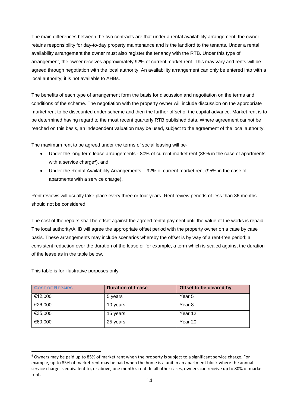The main differences between the two contracts are that under a rental availability arrangement, the owner retains responsibility for day-to-day property maintenance and is the landlord to the tenants. Under a rental availability arrangement the owner must also register the tenancy with the RTB. Under this type of arrangement, the owner receives approximately 92% of current market rent. This may vary and rents will be agreed through negotiation with the local authority. An availability arrangement can only be entered into with a local authority; it is not available to AHBs.

The benefits of each type of arrangement form the basis for discussion and negotiation on the terms and conditions of the scheme. The negotiation with the property owner will include discussion on the appropriate market rent to be discounted under scheme and then the further offset of the capital advance. Market rent is to be determined having regard to the most recent quarterly RTB published data. Where agreement cannot be reached on this basis, an independent valuation may be used, subject to the agreement of the local authority.

The maximum rent to be agreed under the terms of social leasing will be-

- Under the long term lease arrangements 80% of current market rent (85% in the case of apartments with a service charge<sup>4</sup>), and
- Under the Rental Availability Arrangements 92% of current market rent (95% in the case of apartments with a service charge).

Rent reviews will usually take place every three or four years. Rent review periods of less than 36 months should not be considered.

The cost of the repairs shall be offset against the agreed rental payment until the value of the works is repaid. The local authority/AHB will agree the appropriate offset period with the property owner on a case by case basis. These arrangements may include scenarios whereby the offset is by way of a rent-free period; a consistent reduction over the duration of the lease or for example, a term which is scaled against the duration of the lease as in the table below.

| <b>COST OF REPAIRS</b> | <b>Duration of Lease</b> | Offset to be cleared by |
|------------------------|--------------------------|-------------------------|
| €12,000                | 5 years                  | Year 5                  |
| €26,000                | 10 years                 | Year <sub>8</sub>       |
| €35,000                | 15 years                 | Year 12                 |
| €60,000                | 25 years                 | Year 20                 |

This table is for illustrative purposes only

<sup>4</sup> Owners may be paid up to 85% of market rent when the property is subject to a significant service charge. For example, up to 85% of market rent may be paid when the home is a unit in an apartment block where the annual service charge is equivalent to, or above, one month's rent. In all other cases, owners can receive up to 80% of market rent.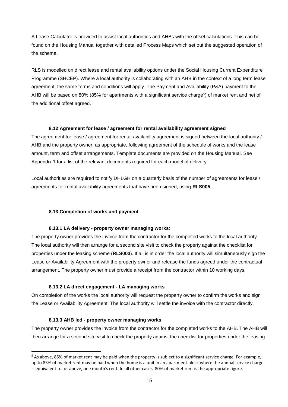A Lease Calculator is provided to assist local authorities and AHBs with the offset calculations. This can be found on the Housing Manual together with detailed Process Maps which set out the suggested operation of the scheme.

RLS is modelled on direct lease and rental availability options under the Social Housing Current Expenditure Programme (SHCEP). Where a local authority is collaborating with an AHB in the context of a long term lease agreement, the same terms and conditions will apply. The Payment and Availability (P&A) payment to the AHB will be based on 80% (85% for apartments with a significant service charge<sup>5</sup>) of market rent and net of the additional offset agreed.

#### <span id="page-14-0"></span>**8.12 Agreement for lease / agreement for rental availability agreement signed**

The agreement for lease / agreement for rental availability agreement is signed between the local authority / AHB and the property owner, as appropriate, following agreement of the schedule of works and the lease amount, term and offset arrangements. Template documents are provided on the Housing Manual. See Appendix 1 for a list of the relevant documents required for each model of delivery.

Local authorities are required to notify DHLGH on a quarterly basis of the number of agreements for lease / agreements for rental availability agreements that have been signed, using **RLS005**.

#### <span id="page-14-1"></span>**8.13 Completion of works and payment**

#### <span id="page-14-2"></span>**8.13.1 LA delivery - property owner managing works**:

The property owner provides the invoice from the contractor for the completed works to the local authority. The local authority will then arrange for a second site visit to check the property against the checklist for properties under the leasing scheme (**RLS003**). If all is in order the local authority will simultaneously sign the Lease or Availability Agreement with the property owner and release the funds agreed under the contractual arrangement. The property owner must provide a receipt from the contractor within 10 working days.

#### <span id="page-14-3"></span>**8.13.2 LA direct engagement - LA managing works**

On completion of the works the local authority will request the property owner to confirm the works and sign the Lease or Availability Agreement. The local authority will settle the invoice with the contractor directly.

#### <span id="page-14-4"></span>**8.13.3 AHB led - property owner managing works**

The property owner provides the invoice from the contractor for the completed works to the AHB. The AHB will then arrange for a second site visit to check the property against the checklist for properties under the leasing

 $5$  As above, 85% of market rent may be paid when the property is subject to a significant service charge. For example, up to 85% of market rent may be paid when the home is a unit in an apartment block where the annual service charge is equivalent to, or above, one month's rent. In all other cases, 80% of market rent is the appropriate figure.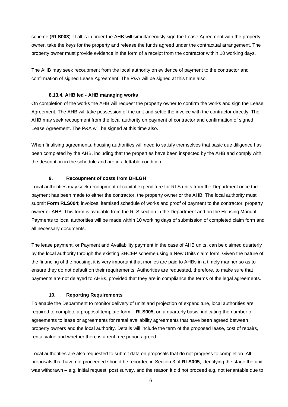scheme (**RLS003**). If all is in order the AHB will simultaneously sign the Lease Agreement with the property owner, take the keys for the property and release the funds agreed under the contractual arrangement. The property owner must provide evidence in the form of a receipt from the contractor within 10 working days.

The AHB may seek recoupment from the local authority on evidence of payment to the contractor and confirmation of signed Lease Agreement. The P&A will be signed at this time also.

#### <span id="page-15-0"></span>**8.13.4. AHB led - AHB managing works**

On completion of the works the AHB will request the property owner to confirm the works and sign the Lease Agreement. The AHB will take possession of the unit and settle the invoice with the contractor directly. The AHB may seek recoupment from the local authority on payment of contractor and confirmation of signed Lease Agreement. The P&A will be signed at this time also.

When finalising agreements, housing authorities will need to satisfy themselves that basic due diligence has been completed by the AHB, including that the properties have been inspected by the AHB and comply with the description in the schedule and are in a lettable condition.

#### <span id="page-15-1"></span>**9. Recoupment of costs from DHLGH**

Local authorities may seek recoupment of capital expenditure for RLS units from the Department once the payment has been made to either the contractor, the property owner or the AHB. The local authority must submit **Form RLS004**; invoices, itemised schedule of works and proof of payment to the contractor, property owner or AHB. This form is available from the RLS section in the Department and on the Housing Manual. Payments to local authorities will be made within 10 working days of submission of completed claim form and all necessary documents.

The lease payment, or Payment and Availability payment in the case of AHB units, can be claimed quarterly by the local authority through the existing SHCEP scheme using a New Units claim form. Given the nature of the financing of the housing, it is very important that monies are paid to AHBs in a timely manner so as to ensure they do not default on their requirements. Authorities are requested, therefore, to make sure that payments are not delayed to AHBs, provided that they are in compliance the terms of the legal agreements.

#### <span id="page-15-2"></span>**10. Reporting Requirements**

To enable the Department to monitor delivery of units and projection of expenditure, local authorities are required to complete a proposal template form – **RLS005**, on a quarterly basis, indicating the number of agreements to lease or agreements for rental availability agreements that have been agreed between property owners and the local authority. Details will include the term of the proposed lease, cost of repairs, rental value and whether there is a rent free period agreed.

Local authorities are also requested to submit data on proposals that do not progress to completion. All proposals that have not proceeded should be recorded in Section 3 of **RLS005**, identifying the stage the unit was withdrawn – e.g. initial request, post survey, and the reason it did not proceed e.g. not tenantable due to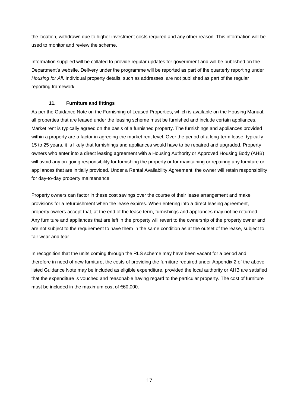the location, withdrawn due to higher investment costs required and any other reason. This information will be used to monitor and review the scheme.

Information supplied will be collated to provide regular updates for government and will be published on the Department's website. Delivery under the programme will be reported as part of the quarterly reporting under *Housing for All*. Individual property details, such as addresses, are not published as part of the regular reporting framework.

#### <span id="page-16-0"></span>**11. Furniture and fittings**

As per the Guidance Note on the Furnishing of Leased Properties, which is available on the Housing Manual, all properties that are leased under the leasing scheme must be furnished and include certain appliances. Market rent is typically agreed on the basis of a furnished property. The furnishings and appliances provided within a property are a factor in agreeing the market rent level. Over the period of a long-term lease, typically 15 to 25 years, it is likely that furnishings and appliances would have to be repaired and upgraded. Property owners who enter into a direct leasing agreement with a Housing Authority or Approved Housing Body (AHB) will avoid any on-going responsibility for furnishing the property or for maintaining or repairing any furniture or appliances that are initially provided. Under a Rental Availability Agreement, the owner will retain responsibility for day-to-day property maintenance.

Property owners can factor in these cost savings over the course of their lease arrangement and make provisions for a refurbishment when the lease expires. When entering into a direct leasing agreement, property owners accept that, at the end of the lease term, furnishings and appliances may not be returned. Any furniture and appliances that are left in the property will revert to the ownership of the property owner and are not subject to the requirement to have them in the same condition as at the outset of the lease, subject to fair wear and tear.

In recognition that the units coming through the RLS scheme may have been vacant for a period and therefore in need of new furniture, the costs of providing the furniture required under Appendix 2 of the above listed Guidance Note may be included as eligible expenditure, provided the local authority or AHB are satisfied that the expenditure is vouched and reasonable having regard to the particular property. The cost of furniture must be included in the maximum cost of €60,000.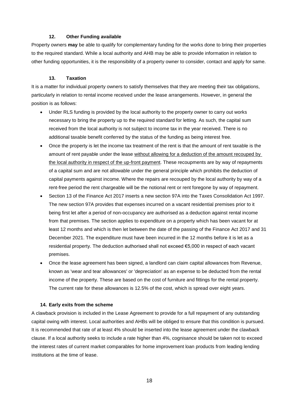#### <span id="page-17-0"></span>**12. Other Funding available**

Property owners **may** be able to qualify for complementary funding for the works done to bring their properties to the required standard. While a local authority and AHB may be able to provide information in relation to other funding opportunities, it is the responsibility of a property owner to consider, contact and apply for same.

#### <span id="page-17-1"></span>**13. Taxation**

It is a matter for individual property owners to satisfy themselves that they are meeting their tax obligations, particularly in relation to rental income received under the lease arrangements. However, in general the position is as follows:

- Under RLS funding is provided by the local authority to the property owner to carry out works necessary to bring the property up to the required standard for letting. As such, the capital sum received from the local authority is not subject to income tax in the year received. There is no additional taxable benefit conferred by the status of the funding as being interest free.
- Once the property is let the income tax treatment of the rent is that the amount of rent taxable is the amount of rent payable under the lease without allowing for a deduction of the amount recouped by the local authority in respect of the up-front payment. These recoupments are by way of repayments of a capital sum and are not allowable under the general principle which prohibits the deduction of capital payments against income. Where the repairs are recouped by the local authority by way of a rent-free period the rent chargeable will be the notional rent or rent foregone by way of repayment.
- Section 13 of the Finance Act 2017 inserts a new section 97A into the Taxes Consolidation Act 1997. The new section 97A provides that expenses incurred on a vacant residential premises prior to it being first let after a period of non-occupancy are authorised as a deduction against rental income from that premises. The section applies to expenditure on a property which has been vacant for at least 12 months and which is then let between the date of the passing of the Finance Act 2017 and 31 December 2021. The expenditure must have been incurred in the 12 months before it is let as a residential property. The deduction authorised shall not exceed €5,000 in respect of each vacant premises.
- Once the lease agreement has been signed, a landlord can claim capital allowances from Revenue, known as 'wear and tear allowances' or 'depreciation' as an expense to be deducted from the rental income of the property. These are based on the cost of furniture and fittings for the rental property. The current rate for these allowances is 12.5% of the cost, which is spread over eight years.

#### <span id="page-17-2"></span>**14. Early exits from the scheme**

A clawback provision is included in the Lease Agreement to provide for a full repayment of any outstanding capital owing with interest. Local authorities and AHBs will be obliged to ensure that this condition is pursued. It is recommended that rate of at least 4% should be inserted into the lease agreement under the clawback clause. If a local authority seeks to include a rate higher than 4%, cognisance should be taken not to exceed the interest rates of current market comparables for home improvement loan products from leading lending institutions at the time of lease.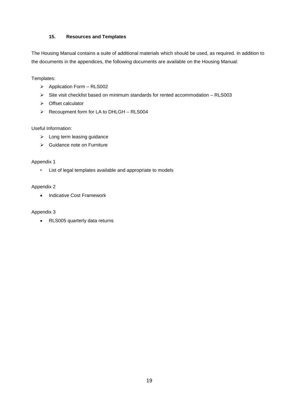#### <span id="page-18-0"></span>**15. Resources and Templates**

The Housing Manual contains a suite of additional materials which should be used, as required. In addition to the documents in the appendices, the following documents are available on the Housing Manual:

Templates:

- $\triangleright$  Application Form RLS002
- $\triangleright$  Site visit checklist based on minimum standards for rented accommodation RLS003
- > Offset calculator
- $\triangleright$  Recoupment form for LA to DHLGH RLS004

#### Useful Information:

- > Long term leasing guidance
- ▶ Guidance note on Furniture

#### Appendix 1

• List of legal templates available and appropriate to models

#### Appendix 2

• Indicative Cost Framework

#### Appendix 3

RLS005 quarterly data returns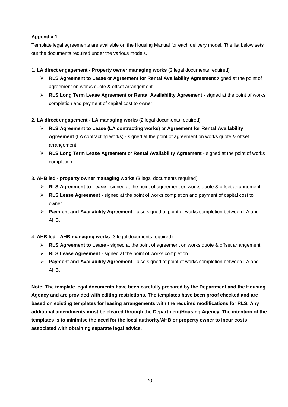#### **Appendix 1**

Template legal agreements are available on the Housing Manual for each delivery model. The list below sets out the documents required under the various models.

#### 1. **LA direct engagement - Property owner managing works** (2 legal documents required)

- **RLS Agreement to Lease** or **Agreement for Rental Availability Agreement** signed at the point of agreement on works quote & offset arrangement.
- **RLS Long Term Lease Agreement or Rental Availability Agreement** signed at the point of works completion and payment of capital cost to owner.
- 2. **LA direct engagement - LA managing works** (2 legal documents required)
	- **RLS Agreement to Lease (LA contracting works)** or **Agreement for Rental Availability Agreement** (LA contracting works) - signed at the point of agreement on works quote & offset arrangement.
	- **RLS Long Term Lease Agreement** or **Rental Availability Agreement** signed at the point of works completion.
- 3. **AHB led - property owner managing works** (3 legal documents required)
	- **RLS Agreement to Lease** signed at the point of agreement on works quote & offset arrangement.
	- **RLS Lease Agreement**  signed at the point of works completion and payment of capital cost to owner.
	- **Payment and Availability Agreement** also signed at point of works completion between LA and AHB.
- 4. **AHB led - AHB managing works** (3 legal documents required)
	- **RLS Agreement to Lease** signed at the point of agreement on works quote & offset arrangement.
	- **RLS Lease Agreement**  signed at the point of works completion.
	- **Payment and Availability Agreement** also signed at point of works completion between LA and AHB.

**Note: The template legal documents have been carefully prepared by the Department and the Housing Agency and are provided with editing restrictions. The templates have been proof checked and are based on existing templates for leasing arrangements with the required modifications for RLS. Any additional amendments must be cleared through the Department/Housing Agency. The intention of the templates is to minimise the need for the local authority/AHB or property owner to incur costs associated with obtaining separate legal advice.**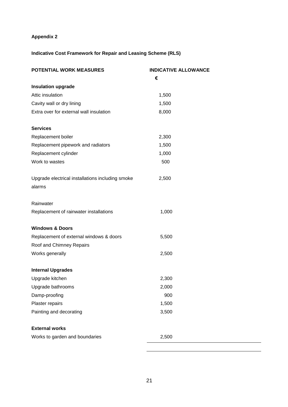# **Appendix 2**

# **Indicative Cost Framework for Repair and Leasing Scheme (RLS)**

| POTENTIAL WORK MEASURES                                    | <b>INDICATIVE ALLOWANCE</b> |
|------------------------------------------------------------|-----------------------------|
|                                                            | €                           |
| <b>Insulation upgrade</b>                                  |                             |
| Attic insulation                                           | 1,500                       |
| Cavity wall or dry lining                                  | 1,500                       |
| Extra over for external wall insulation                    | 8,000                       |
| <b>Services</b>                                            |                             |
| Replacement boiler                                         | 2,300                       |
| Replacement pipework and radiators                         | 1,500                       |
| Replacement cylinder                                       | 1,000                       |
| Work to wastes                                             | 500                         |
| Upgrade electrical installations including smoke<br>alarms | 2,500                       |
| Rainwater                                                  |                             |
| Replacement of rainwater installations                     | 1,000                       |
| <b>Windows &amp; Doors</b>                                 |                             |
| Replacement of external windows & doors                    | 5,500                       |
| Roof and Chimney Repairs                                   |                             |
| Works generally                                            | 2,500                       |
| <b>Internal Upgrades</b>                                   |                             |
| Upgrade kitchen                                            | 2,300                       |
| Upgrade bathrooms                                          | 2,000                       |
| Damp-proofing                                              | 900                         |
| Plaster repairs                                            | 1,500                       |
| Painting and decorating                                    | 3,500                       |
| <b>External works</b>                                      |                             |
| Works to garden and boundaries                             | 2,500                       |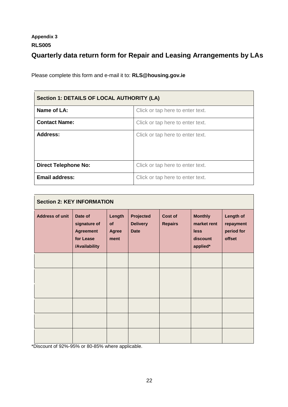# **Appendix 3 RLS005**

# **Quarterly data return form for Repair and Leasing Arrangements by LAs**

Please complete this form and e-mail it to: **RLS@housing.gov.ie**

| Section 1: DETAILS OF LOCAL AUTHORITY (LA) |                                  |  |
|--------------------------------------------|----------------------------------|--|
| Name of LA:                                | Click or tap here to enter text. |  |
| <b>Contact Name:</b>                       | Click or tap here to enter text. |  |
| <b>Address:</b>                            | Click or tap here to enter text. |  |
| <b>Direct Telephone No:</b>                | Click or tap here to enter text. |  |
| <b>Email address:</b>                      | Click or tap here to enter text. |  |

| <b>Section 2: KEY INFORMATION</b> |                                                                           |                               |                                             |                                  |                                                                      |                                                       |
|-----------------------------------|---------------------------------------------------------------------------|-------------------------------|---------------------------------------------|----------------------------------|----------------------------------------------------------------------|-------------------------------------------------------|
| <b>Address of unit</b>            | Date of<br>signature of<br><b>Agreement</b><br>for Lease<br>/Availability | Length<br>of<br>Agree<br>ment | Projected<br><b>Delivery</b><br><b>Date</b> | <b>Cost of</b><br><b>Repairs</b> | <b>Monthly</b><br>market rent<br><b>less</b><br>discount<br>applied* | <b>Length of</b><br>repayment<br>period for<br>offset |
|                                   |                                                                           |                               |                                             |                                  |                                                                      |                                                       |
|                                   |                                                                           |                               |                                             |                                  |                                                                      |                                                       |
|                                   |                                                                           |                               |                                             |                                  |                                                                      |                                                       |
|                                   |                                                                           |                               |                                             |                                  |                                                                      |                                                       |
|                                   |                                                                           |                               |                                             |                                  |                                                                      |                                                       |
|                                   |                                                                           |                               |                                             |                                  |                                                                      |                                                       |

\*Discount of 92%-95% or 80-85% where applicable.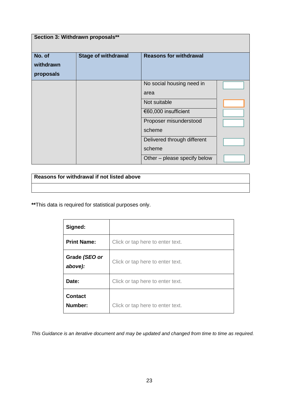| Section 3: Withdrawn proposals** |                            |                                                                                                                                                                                        |  |  |  |
|----------------------------------|----------------------------|----------------------------------------------------------------------------------------------------------------------------------------------------------------------------------------|--|--|--|
| No. of<br>withdrawn<br>proposals | <b>Stage of withdrawal</b> | <b>Reasons for withdrawal</b>                                                                                                                                                          |  |  |  |
|                                  |                            | No social housing need in<br>area<br>Not suitable<br>€60,000 insufficient<br>Proposer misunderstood<br>scheme<br>Delivered through different<br>scheme<br>Other – please specify below |  |  |  |

**Reasons for withdrawal if not listed above**

**\*\***This data is required for statistical purposes only.

| Signed:                   |                                  |
|---------------------------|----------------------------------|
| <b>Print Name:</b>        | Click or tap here to enter text. |
| Grade (SEO or<br>above):  | Click or tap here to enter text. |
| Date:                     | Click or tap here to enter text. |
| <b>Contact</b><br>Number: | Click or tap here to enter text. |

*This Guidance is an iterative document and may be updated and changed from time to time as required.*